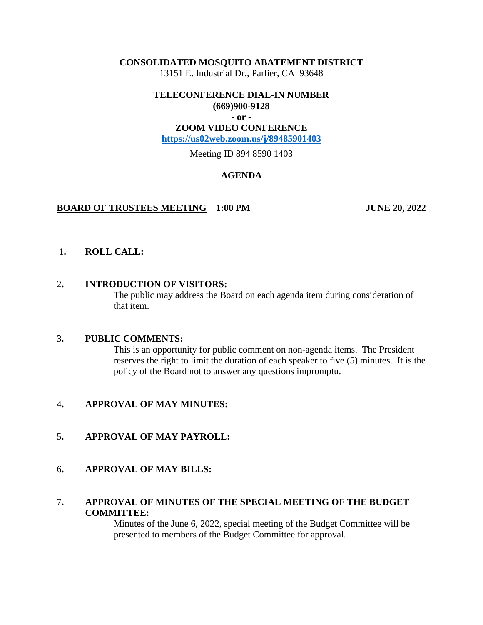### **CONSOLIDATED MOSQUITO ABATEMENT DISTRICT**

13151 E. Industrial Dr., Parlier, CA 93648

#### **TELECONFERENCE DIAL-IN NUMBER (669)900-9128**

**- or -**

### **ZOOM VIDEO CONFERENCE**

**<https://us02web.zoom.us/j/89485901403>**

Meeting ID 894 8590 1403

# **AGENDA**

# **BOARD OF TRUSTEES MEETING 1:00 PM JUNE 20, 2022**

# 1**. ROLL CALL:**

# 2**. INTRODUCTION OF VISITORS:**

The public may address the Board on each agenda item during consideration of that item.

# 3**. PUBLIC COMMENTS:**

This is an opportunity for public comment on non-agenda items. The President reserves the right to limit the duration of each speaker to five (5) minutes. It is the policy of the Board not to answer any questions impromptu.

# 4**. APPROVAL OF MAY MINUTES:**

# 5**. APPROVAL OF MAY PAYROLL:**

# 6**. APPROVAL OF MAY BILLS:**

# 7**. APPROVAL OF MINUTES OF THE SPECIAL MEETING OF THE BUDGET COMMITTEE:**

Minutes of the June 6, 2022, special meeting of the Budget Committee will be presented to members of the Budget Committee for approval.